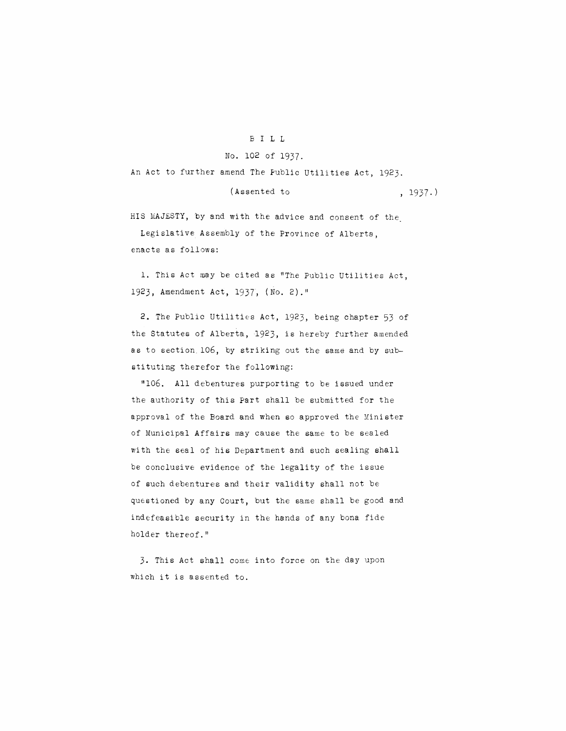## B ILL

## No. 102 of 1937.

An Act to further amend The Public Utilities Act, 1923.

(Assented to , 1937.)

HIS MAJESTY, by and with the advice and consent of the Legislative Assembly of the Province of Alberta, enacts as follows:

**1.** This Act may be cited as "The Public Utilities Act, 1923, Amendment Act, 1937, (No. 2)."

2. The Public Utilities Act, 1923, being chapter 53 of the Statutes of Alberta, 1923, is hereby further amended as to section. 106, by striking out the same and by substituting therefor the following:

"106. All debentures purporting to be issued under the authority of this Part shall be submitted for the approval of the Board and when so approved the Minister of Municipal Affairs may cause the same to be sealed with the seal of his Department and such sealing shall be conclusive evidence of the legality of the issue of such debentures and their validity shall not be questioned by any Oourt, but the same shall be good and indefeasible security in the hands of any bona fide holder thereof."

3. This Act shall come into force on the day upon which it is assented to.